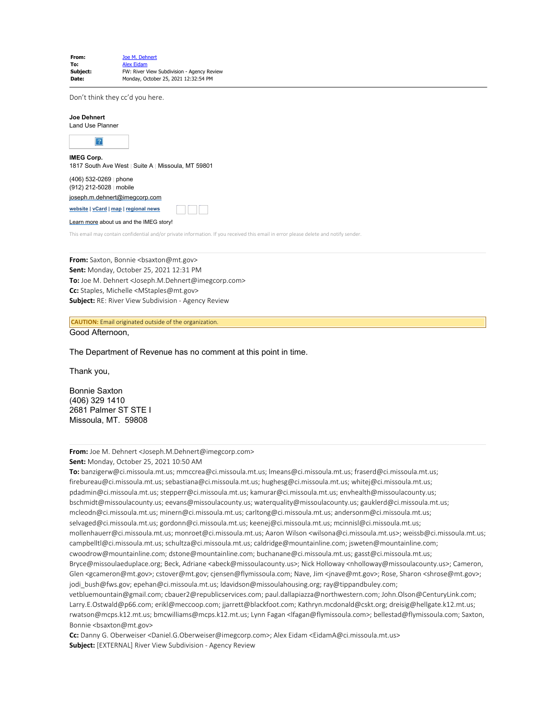| From:    | Joe M. Dehnert                             |
|----------|--------------------------------------------|
| To:      | <b>Alex Eidam</b>                          |
| Subject: | FW: River View Subdivision - Agency Review |
| Date:    | Monday, October 25, 2021 12:32:54 PM       |
|          |                                            |

Don't think they cc'd you here.

| <b>Joe Dehnert</b><br>Land Use Planner              |                                                    |
|-----------------------------------------------------|----------------------------------------------------|
|                                                     |                                                    |
| <b>IMEG Corp.</b>                                   | 1817 South Ave West   Suite A   Missoula, MT 59801 |
| $(406)$ 532-0269   phone<br>(912) 212-5028   mobile |                                                    |
| joseph.m.dehnert@imegcorp.com                       |                                                    |

**[website](https://www.imegcorp.com/) | [vCard](https://dynasend.com/signatures/vcard/joseph.m.dehnert-at-imegcorp.com.vcf) | [map](https://www.google.com/maps/place/1817+South+Ave+W,+Missoula,+MT+59801/@46.8480356,-114.0272793,17z/data=!3m1!4b1!4m5!3m4!1s0x535dcdf29ff2db53:0x9cb98fb330b7c9bf!8m2!3d46.8480356!4d-114.0250906?hl=en) | [regional news](https://www.imegcorp.com/location/upper-mountain-state-region/)** Twitter Facebook LinkedIn

[Learn more](https://www.imegcorp.com/about/our-story/) about us and the IMEG story!

This email may contain confidential and/or private information. If you received this email in error please delete and notify sender.

**From:** Saxton, Bonnie <bsaxton@mt.gov> **Sent:** Monday, October 25, 2021 12:31 PM **To:** Joe M. Dehnert <Joseph.M.Dehnert@imegcorp.com> **Cc:** Staples, Michelle <MStaples@mt.gov> **Subject:** RE: River View Subdivision - Agency Review

**CAUTION:** Email originated outside of the organization.

Good Afternoon,

The Department of Revenue has no comment at this point in time.

Thank you,

Bonnie Saxton (406) 329 1410 2681 Palmer ST STE I Missoula, MT. 59808

**From:** Joe M. Dehnert <Joseph.M.Dehnert@imegcorp.com>

**Sent:** Monday, October 25, 2021 10:50 AM

**To:** banzigerw@ci.missoula.mt.us; mmccrea@ci.missoula.mt.us; lmeans@ci.missoula.mt.us; fraserd@ci.missoula.mt.us; firebureau@ci.missoula.mt.us; sebastiana@ci.missoula.mt.us; hughesg@ci.missoula.mt.us; whitej@ci.missoula.mt.us; pdadmin@ci.missoula.mt.us; stepperr@ci.missoula.mt.us; kamurar@ci.missoula.mt.us; envhealth@missoulacounty.us; bschmidt@missoulacounty.us; eevans@missoulacounty.us; waterquality@missoulacounty.us; gauklerd@ci.missoula.mt.us; mcleodn@ci.missoula.mt.us; minern@ci.missoula.mt.us; carltong@ci.missoula.mt.us; andersonm@ci.missoula.mt.us; selvaged@ci.missoula.mt.us; gordonn@ci.missoula.mt.us; keenej@ci.missoula.mt.us; mcinnisl@ci.missoula.mt.us; mollenhauerr@ci.missoula.mt.us; monroet@ci.missoula.mt.us; Aaron Wilson <wilsona@ci.missoula.mt.us>; weissb@ci.missoula.mt.us; campbelltl@ci.missoula.mt.us; schultza@ci.missoula.mt.us; caldridge@mountainline.com; jsweten@mountainline.com; cwoodrow@mountainline.com; dstone@mountainline.com; buchanane@ci.missoula.mt.us; gasst@ci.missoula.mt.us; Bryce@missoulaeduplace.org; Beck, Adriane <abeck@missoulacounty.us>; Nick Holloway <nholloway@missoulacounty.us>; Cameron, Glen <gcameron@mt.gov>; cstover@mt.gov; cjensen@flymissoula.com; Nave, Jim <jnave@mt.gov>; Rose, Sharon <shrose@mt.gov>; jodi\_bush@fws.gov; epehan@ci.missoula.mt.us; ldavidson@missoulahousing.org; ray@tippandbuley.com; vetbluemountain@gmail.com; cbauer2@republicservices.com; paul.dallapiazza@northwestern.com; John.Olson@CenturyLink.com; Larry.E.Ostwald@p66.com; erikl@meccoop.com; jjarrett@blackfoot.com; Kathryn.mcdonald@cskt.org; dreisig@hellgate.k12.mt.us;

rwatson@mcps.k12.mt.us; bmcwilliams@mcps.k12.mt.us; Lynn Fagan <lfagan@flymissoula.com>; bellestad@flymissoula.com; Saxton, Bonnie <bsaxton@mt.gov>

**Cc:** Danny G. Oberweiser <Daniel.G.Oberweiser@imegcorp.com>; Alex Eidam <EidamA@ci.missoula.mt.us> **Subject:** [EXTERNAL] River View Subdivision - Agency Review